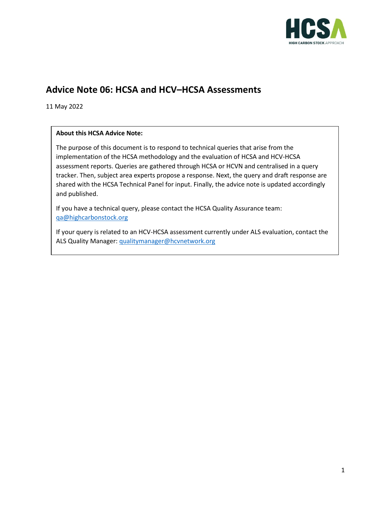

## **Advice Note 06: HCSA and HCV–HCSA Assessments**

11 May 2022

## **About this HCSA Advice Note:**

The purpose of this document is to respond to technical queries that arise from the implementation of the HCSA methodology and the evaluation of HCSA and HCV-HCSA assessment reports. Queries are gathered through HCSA or HCVN and centralised in a query tracker. Then, subject area experts propose a response. Next, the query and draft response are shared with the HCSA Technical Panel for input. Finally, the advice note is updated accordingly and published.

If you have a technical query, please contact the HCSA Quality Assurance team: [qa@highcarbonstock.org](mailto:qa@highcarbonstock.org)

If your query is related to an HCV-HCSA assessment currently under ALS evaluation, contact the ALS Quality Manager[: qualitymanager@hcvnetwork.org](mailto:qualitymanager@hcvnetwork.org)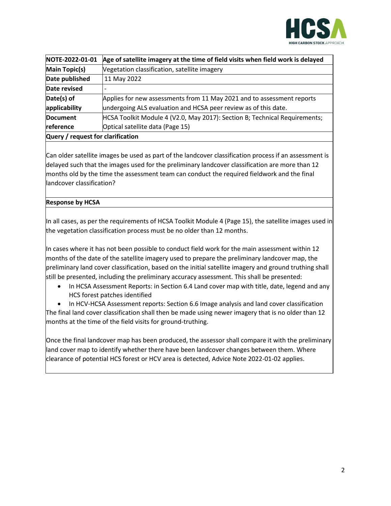

| NOTE-2022-01-01                   | Age of satellite imagery at the time of field visits when field work is delayed |
|-----------------------------------|---------------------------------------------------------------------------------|
| <b>Main Topic(s)</b>              | Vegetation classification, satellite imagery                                    |
| Date published                    | 11 May 2022                                                                     |
| Date revised                      |                                                                                 |
| Date(s) of                        | Applies for new assessments from 11 May 2021 and to assessment reports          |
| applicability                     | undergoing ALS evaluation and HCSA peer review as of this date.                 |
| Document                          | HCSA Toolkit Module 4 (V2.0, May 2017): Section B; Technical Requirements;      |
| reference                         | Optical satellite data (Page 15)                                                |
| Query / request for clarification |                                                                                 |

Can older satellite images be used as part of the landcover classification process if an assessment is delayed such that the images used for the preliminary landcover classification are more than 12 months old by the time the assessment team can conduct the required fieldwork and the final landcover classification?

## **Response by HCSA**

In all cases, as per the requirements of HCSA Toolkit Module 4 (Page 15), the satellite images used in the vegetation classification process must be no older than 12 months.

In cases where it has not been possible to conduct field work for the main assessment within 12 months of the date of the satellite imagery used to prepare the preliminary landcover map, the preliminary land cover classification, based on the initial satellite imagery and ground truthing shall still be presented, including the preliminary accuracy assessment. This shall be presented:

• In HCSA Assessment Reports: in Section 6.4 Land cover map with title, date, legend and any HCS forest patches identified

• In HCV-HCSA Assessment reports: Section 6.6 Image analysis and land cover classification The final land cover classification shall then be made using newer imagery that is no older than 12 months at the time of the field visits for ground-truthing.

Once the final landcover map has been produced, the assessor shall compare it with the preliminary land cover map to identify whether there have been landcover changes between them. Where clearance of potential HCS forest or HCV area is detected, Advice Note 2022-01-02 applies.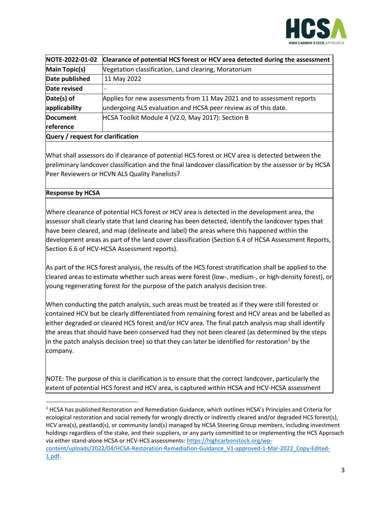

| NOTE-2022-01-02                   | Clearance of potential HCS forest or HCV area detected during the assessment |
|-----------------------------------|------------------------------------------------------------------------------|
| <b>Main Topic(s)</b>              | Vegetation classification, Land clearing, Moratorium                         |
| Date published                    | 11 May 2022                                                                  |
| Date revised                      |                                                                              |
| Date(s) of                        | Applies for new assessments from 11 May 2021 and to assessment reports       |
| applicability                     | undergoing ALS evaluation and HCSA peer review as of this date.              |
| <b>Document</b>                   | HCSA Toolkit Module 4 (V2.0, May 2017): Section B                            |
| reference                         |                                                                              |
| Query / request for clarification |                                                                              |

What shall assessors do if clearance of potential HCS forest or HCV area is detected between the preliminary landcover classification and the final landcover classification by the assessor or by HCSA Peer Reviewers or HCVN ALS Quality Panelists?

## **Response by HCSA**

Where clearance of potential HCS forest or HCV area is detected in the development area, the assessor shall clearly state that land clearing has been detected, identify the landcover types that have been cleared, and map (delineate and label) the areas where this happened within the development areas as part of the land cover classification (Section 6.4 of HCSA Assessment Reports, Section 6.6 of HCV-HCSA Assessment reports).

As part of the HCS forest analysis, the results of the HCS forest stratification shall be applied to the cleared areas to estimate whether such areas were forest (low-, medium-, or high-density forest), or young regenerating forest for the purpose of the patch analysis decision tree.

When conducting the patch analysis, such areas must be treated as if they were still forested or contained HCV but be clearly differentiated from remaining forest and HCV areas and be labelled as either degraded or cleared HCS forest and/or HCV area. The final patch analysis map shall identify the areas that should have been conserved had they not been cleared (as determined by the steps in the patch analysis decision tree) so that they can later be identified for restoration<sup>1</sup> by the company.

NOTE: The purpose of this is clarification is to ensure that the correct landcover, particularly the extent of potential HCS forest and HCV area, is captured within HCSA and HCV-HCSA assessment

<sup>1</sup> HCSA has published Restoration and Remediation Guidance, which outlines HCSA's Principles and Criteria for ecological restoration and social remedy for wrongly directly or indirectly cleared and/or degraded HCS forest(s), HCV area(s), peatland(s), or community land(s) managed by HCSA Steering Group members, including investment holdings regardless of the stake, and their suppliers, or any party committed to or implementing the HCS Approach via either stand-alone HCSA or HCV-HCS assessments[: https://highcarbonstock.org/wp](https://highcarbonstock.org/wp-content/uploads/2022/04/HCSA-Restoration-Remediation-Guidance_V1-approved-1-Mar-2022_Copy-Edited-1.pdf)[content/uploads/2022/04/HCSA-Restoration-Remediation-Guidance\\_V1-approved-1-Mar-2022\\_Copy-Edited-](https://highcarbonstock.org/wp-content/uploads/2022/04/HCSA-Restoration-Remediation-Guidance_V1-approved-1-Mar-2022_Copy-Edited-1.pdf)[1.pdf.](https://highcarbonstock.org/wp-content/uploads/2022/04/HCSA-Restoration-Remediation-Guidance_V1-approved-1-Mar-2022_Copy-Edited-1.pdf)